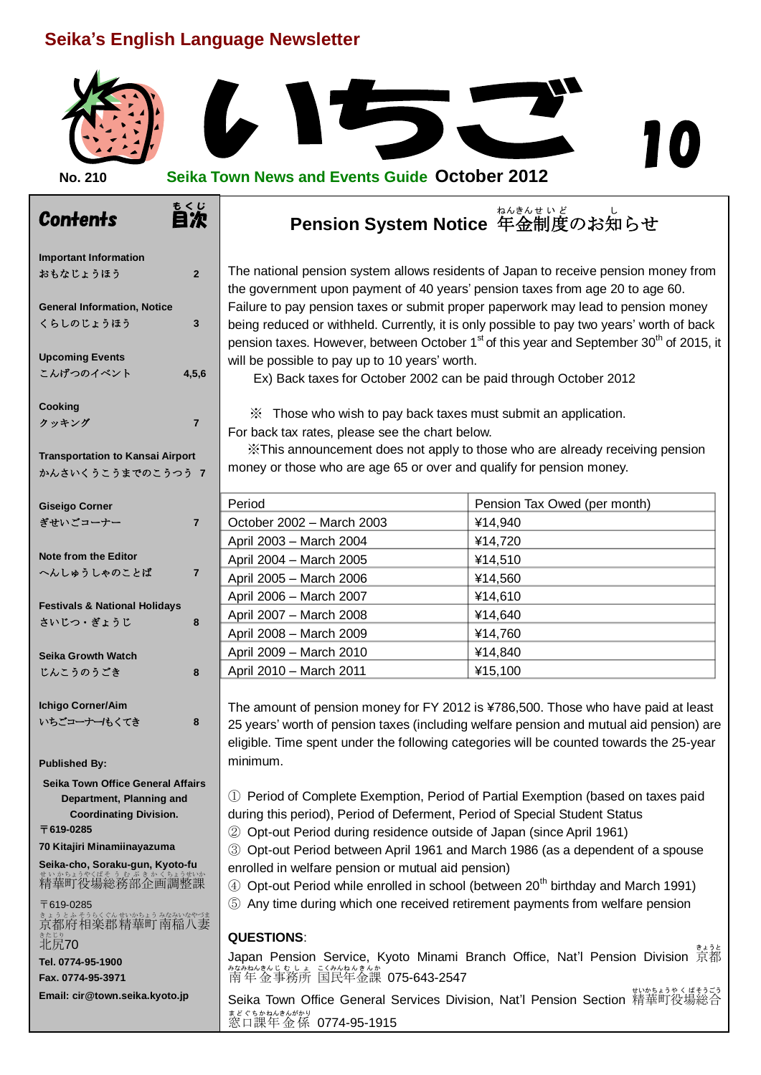## **Seika's English Language Newsletter**

もくじ<br>**自次** 



#### **No. 210 Seika Town News and Events Guide October 2012**

#### - Con<del>l</del>ents をして Pension System Notice 年金制度のお知らせ ねんきん せいど し

The national pension system allows residents of Japan to receive pension money from the government upon payment of 40 years' pension taxes from age 20 to age 60. Failure to pay pension taxes or submit proper paperwork may lead to pension money being reduced or withheld. Currently, it is only possible to pay two years' worth of back pension taxes. However, between October  $1<sup>st</sup>$  of this year and September 30<sup>th</sup> of 2015, it

**Important Information** おもなじょうほう **2 General Information, Notice** くらしのじょうほう **3 Upcoming Events** こんげつのイベント **4,5,6 Cooking** クッキング **7 Transportation to Kansai Airport** かんさいくうこうまでのこうつう **7 Giseigo Corner** ぎせいごコーナー **7 Note from the Editor** へんしゅうしゃのことば **7 Festivals & National Holidays** さいじつ・ぎょうじ **8 Seika Growth Watch** じんこうのうごき **8 Ichigo Corner/Aim** いちごコーナー**/**もくてき **8 Published By: Seika Town Office General Affairs Department, Planning and Coordinating Division.** 〒**619-0285 70 Kitajiri Minamiinayazuma Seika-cho, Soraku-gun, Kyoto-fu** まいかちょうやくばそう むぶきかんなうきいか 〒619-0285 きょうとふそうらくぐんせいかちょう みなみいなやづま<br>京都府 相楽郡 精華町 南稲八妻

<sub>きたじり</sub><br>北尻**70 Tel. 0774-95-1900 Fax. 0774-95-3971 Email: cir@town.seika.kyoto.jp**

Ex) Back taxes for October 2002 can be paid through October 2012 ※ Those who wish to pay back taxes must submit an application.

For back tax rates, please see the chart below.

will be possible to pay up to 10 years' worth.

 ※This announcement does not apply to those who are already receiving pension money or those who are age 65 or over and qualify for pension money.

| Period                    | Pension Tax Owed (per month) |
|---------------------------|------------------------------|
| October 2002 - March 2003 | ¥14,940                      |
| April 2003 - March 2004   | ¥14,720                      |
| April 2004 - March 2005   | ¥14,510                      |
| April 2005 - March 2006   | ¥14,560                      |
| April 2006 - March 2007   | ¥14,610                      |
| April 2007 - March 2008   | ¥14.640                      |
| April 2008 - March 2009   | ¥14,760                      |
| April 2009 - March 2010   | ¥14,840                      |
| April 2010 - March 2011   | ¥15,100                      |

The amount of pension money for FY 2012 is ¥786,500. Those who have paid at least 25 years' worth of pension taxes (including welfare pension and mutual aid pension) are eligible. Time spent under the following categories will be counted towards the 25-year minimum.

① Period of Complete Exemption, Period of Partial Exemption (based on taxes paid during this period), Period of Deferment, Period of Special Student Status

② Opt-out Period during residence outside of Japan (since April 1961)

③ Opt-out Period between April 1961 and March 1986 (as a dependent of a spouse enrolled in welfare pension or mutual aid pension)

 $\ddot{a}$  Opt-out Period while enrolled in school (between 20<sup>th</sup> birthday and March 1991)

⑤ Any time during which one received retirement payments from welfare pension

#### **QUESTIONS**:

Japan Pension Service, Kyoto Minami Branch Office, Nat'l Pension Division <br> <u>なみなもともよ。ことのねんをんか</u><br>南年金事務所 国民年金課 **075-643-2547** 

Seika Town Office General Services Division, Nat'l Pension Section 精華町役場総合 まどぐちかねんきんがかり<br>窓口課年金係 0774-95-1915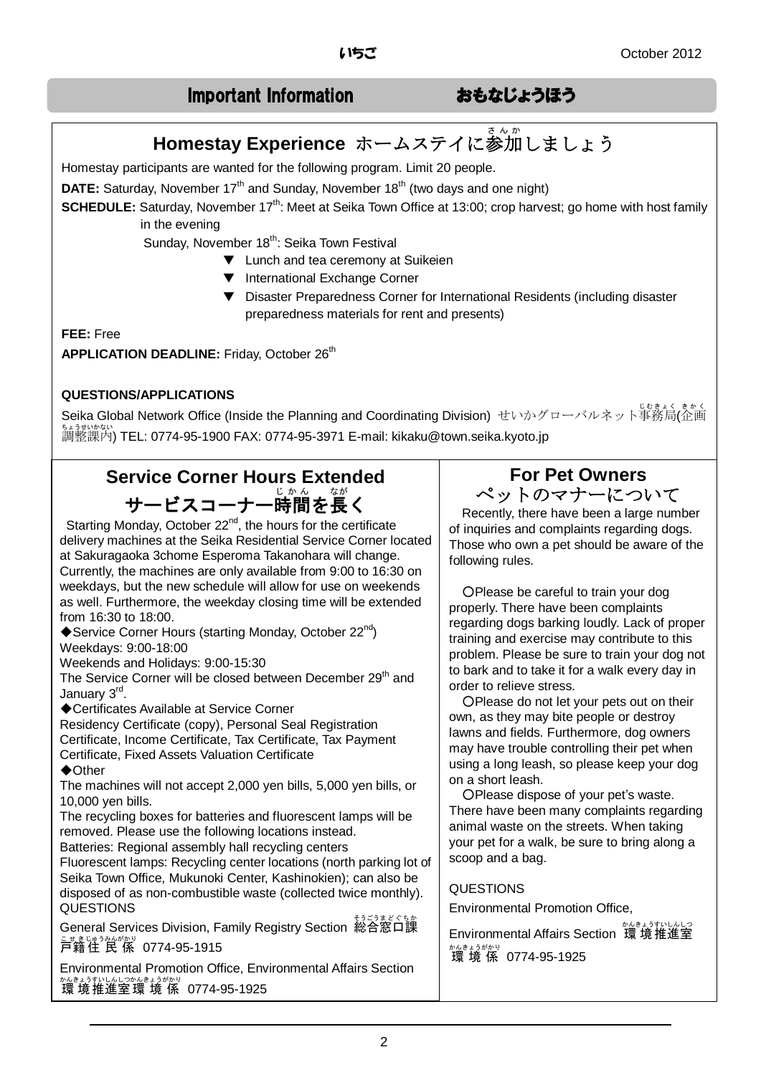## Important Information おもなじょうほう

# **Homestay Experience** ホームステイに参加しましょう

Homestay participants are wanted for the following program. Limit 20 people.

**DATE:** Saturday, November 17<sup>th</sup> and Sunday, November 18<sup>th</sup> (two days and one night)

**SCHEDULE:** Saturday, November 17<sup>th</sup>: Meet at Seika Town Office at 13:00; crop harvest; go home with host family in the evening

Sunday, November 18<sup>th</sup>: Seika Town Festival

- ▼ Lunch and tea ceremony at Suikeien
- ▼ International Exchange Corner
- ▼ Disaster Preparedness Corner for International Residents (including disaster preparedness materials for rent and presents)

**FEE:** Free

**APPLICATION DEADLINE: Friday, October 26th** 

#### **QUESTIONS/APPLICATIONS**

Seika Global Network Office (Inside the Planning and Coordinating Division) せいかグローバルネット事務局(企画 調整課内 ちょうせいかない ) TEL: 0774-95-1900 FAX: 0774-95-3971 E-mail: kikaku@town.seika.kyoto.jp

# **Service Corner Hours Extended**  サービスコーナー時間を長く

Starting Monday, October 22<sup>nd</sup>, the hours for the certificate delivery machines at the Seika Residential Service Corner located at Sakuragaoka 3chome Esperoma Takanohara will change. Currently, the machines are only available from 9:00 to 16:30 on weekdays, but the new schedule will allow for use on weekends as well. Furthermore, the weekday closing time will be extended from 16:30 to 18:00.

◆Service Corner Hours (starting Monday, October 22<sup>nd</sup>) Weekdays: 9:00-18:00

Weekends and Holidays: 9:00-15:30

The Service Corner will be closed between December 29<sup>th</sup> and January 3<sup>rd</sup>.

◆Certificates Available at Service Corner

Residency Certificate (copy), Personal Seal Registration Certificate, Income Certificate, Tax Certificate, Tax Payment Certificate, Fixed Assets Valuation Certificate

#### ◆Other

The machines will not accept 2,000 yen bills, 5,000 yen bills, or 10,000 yen bills.

The recycling boxes for batteries and fluorescent lamps will be removed. Please use the following locations instead.

Batteries: Regional assembly hall recycling centers

Fluorescent lamps: Recycling center locations (north parking lot of Seika Town Office, Mukunoki Center, Kashinokien); can also be disposed of as non-combustible waste (collected twice monthly). QUESTIONS

– comeral Services Division, Family Registry Section 総合窓口課 こせきじゅうみんがかり<br>戸籍住 民 係 0774-95-1915

Environmental Promotion Office, Environmental Affairs Section 環 境 かんきょう 推進室 すいしんしつ 環境係 かんきょうがかり 0774-95-1925

## **For Pet Owners** ペットのマナーについて

Recently, there have been a large number of inquiries and complaints regarding dogs. Those who own a pet should be aware of the following rules.

OPlease be careful to train your dog properly. There have been complaints regarding dogs barking loudly. Lack of proper training and exercise may contribute to this problem. Please be sure to train your dog not to bark and to take it for a walk every day in order to relieve stress.

OPlease do not let your pets out on their own, as they may bite people or destroy lawns and fields. Furthermore, dog owners may have trouble controlling their pet when using a long leash, so please keep your dog on a short leash.

○Please dispose of your pet's waste. There have been many complaints regarding animal waste on the streets. When taking your pet for a walk, be sure to bring along a scoop and a bag.

### QUESTIONS

Environmental Promotion Office,

Environmental Affairs Section <sup>始続的松台</sup> 。。。。。。<br>環境係 0774-95-1925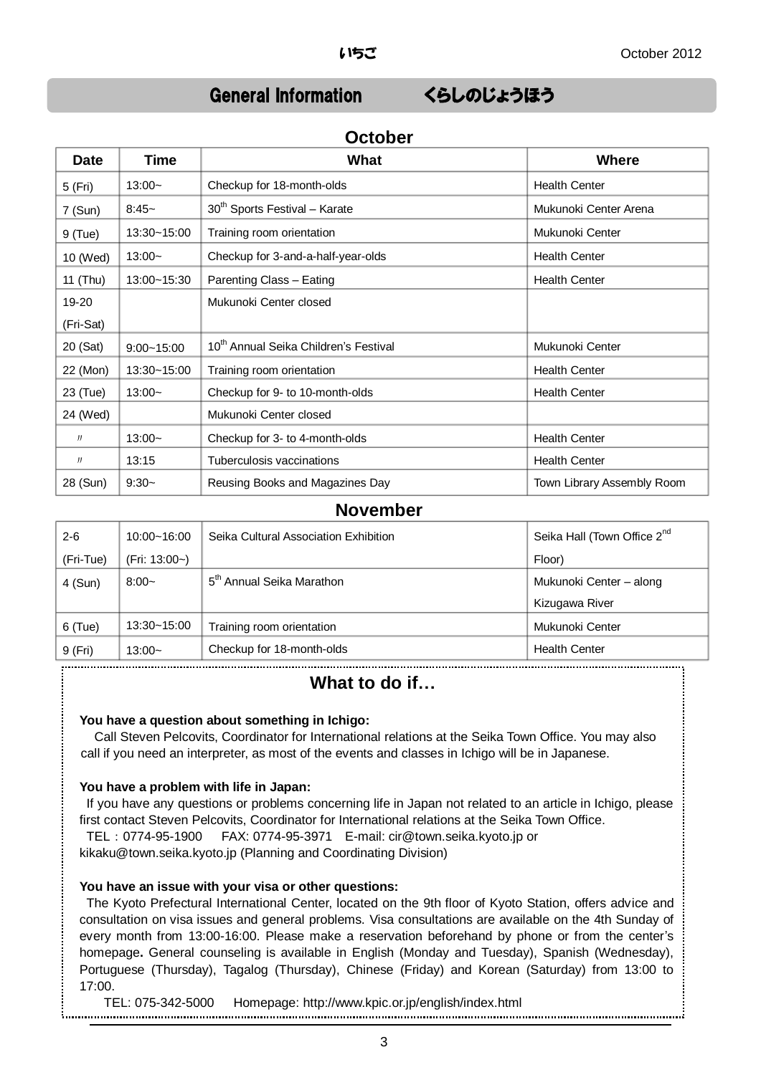## General Information くらしのじょうほう

## **Date Time What Where** 5 (Fri) 13:00~ Checkup for 18-month-olds | Health Center 7 (Sun) 8:45~ 30<sup>th</sup> Sports Festival – Karate Mukunoki Center Arena 9 (Tue) 13:30~15:00 Training room orientation Mukunoki Center 10 (Wed) | 13:00~ Checkup for 3-and-a-half-year-olds | Health Center 11 (Thu) 13:00~15:30 Parenting Class – Eating Health Center 19-20 (Fri-Sat) Mukunoki Center closed 20 (Sat) 9:00~15:00 10<sup>th</sup> Annual Seika Children's Festival Mukunoki Center 22 (Mon) 13:30~15:00 Training room orientation Health Center 23 (Tue) 13:00~ Checkup for 9- to 10-month-olds Health Center 24 (Wed) Mukunoki Center closed  $\frac{1}{13.00}$  | 13:00~ Checkup for 3- to 4-month-olds | Health Center 〃 13:15 Tuberculosis vaccinations Health Center 28 (Sun) 9:30~ Reusing Books and Magazines Day Town Library Assembly Room

## **October**

#### **November**

| $2 - 6$   | $10:00 - 16:00$ | Seika Cultural Association Exhibition | Seika Hall (Town Office 2 <sup>nd</sup> |
|-----------|-----------------|---------------------------------------|-----------------------------------------|
| (Fri-Tue) | (Fri: 13:00~)   |                                       | Floor)                                  |
| $4$ (Sun) | $8:00-$         | 5 <sup>th</sup> Annual Seika Marathon | Mukunoki Center - along                 |
|           |                 |                                       | Kizugawa River                          |
| $6$ (Tue) | $13:30 - 15:00$ | Training room orientation             | Mukunoki Center                         |
| 9 (Fri)   | $13:00-$        | Checkup for 18-month-olds             | <b>Health Center</b>                    |
|           |                 |                                       |                                         |

### **What to do if…**

#### **You have a question about something in Ichigo:**

Call Steven Pelcovits, Coordinator for International relations at the Seika Town Office. You may also call if you need an interpreter, as most of the events and classes in Ichigo will be in Japanese.

#### **You have a problem with life in Japan:**

If you have any questions or problems concerning life in Japan not related to an article in Ichigo, please first contact Steven Pelcovits, Coordinator for International relations at the Seika Town Office. TEL:0774-95-1900 FAX: 0774-95-3971 E-mail: cir@town.seika.kyoto.jp or kikaku@town.seika.kyoto.jp (Planning and Coordinating Division)

## **You have an issue with your visa or other questions:**

The Kyoto Prefectural International Center, located on the 9th floor of Kyoto Station, offers advice and consultation on visa issues and general problems. Visa consultations are available on the 4th Sunday of every month from 13:00-16:00. Please make a reservation beforehand by phone or from the center's homepage**.** General counseling is available in English (Monday and Tuesday), Spanish (Wednesday), Portuguese (Thursday), Tagalog (Thursday), Chinese (Friday) and Korean (Saturday) from 13:00 to 17:00.

TEL: 075-342-5000 Homepage: http://www.kpic.or.jp/english/index.html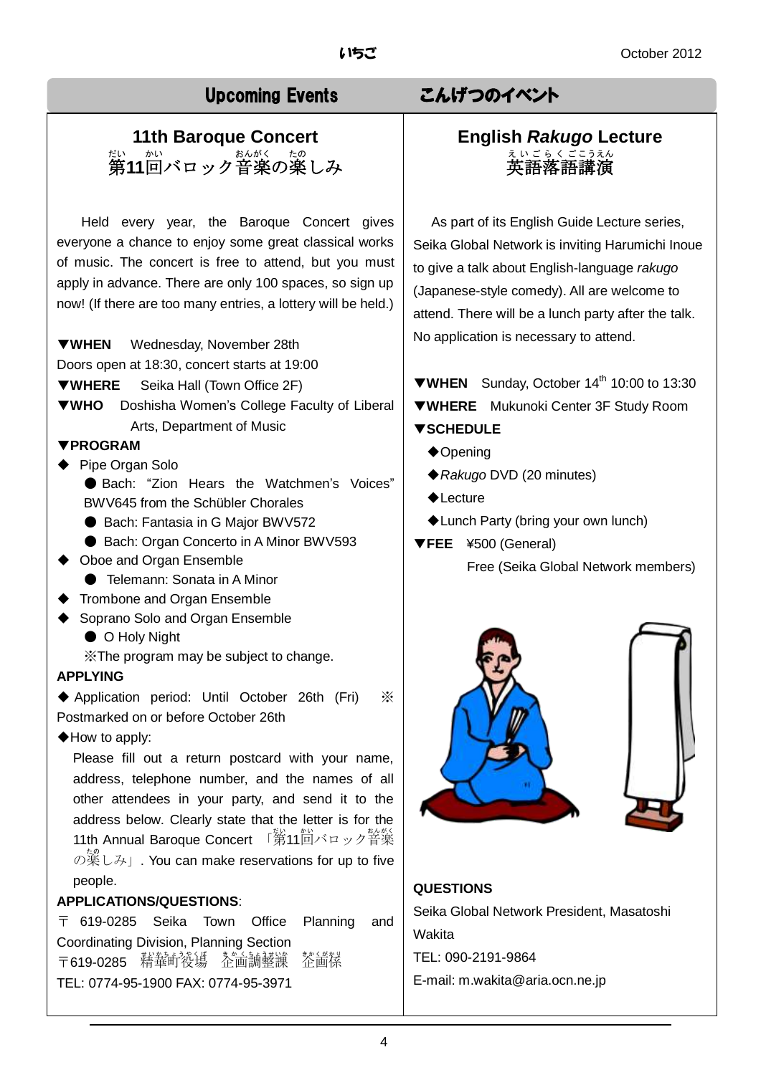# **11th Baroque Concert** 第 だい **11**回 かい バロック音楽 おんがく の楽 たの しみ

Held every year, the Baroque Concert gives everyone a chance to enjoy some great classical works of music. The concert is free to attend, but you must apply in advance. There are only 100 spaces, so sign up now! (If there are too many entries, a lottery will be held.)

▼**WHEN** Wednesday, November 28th

Doors open at 18:30, concert starts at 19:00

▼**WHERE** Seika Hall (Town Office 2F)

▼**WHO** Doshisha Women's College Faculty of Liberal Arts, Department of Music

#### ▼**PROGRAM**

- ◆ Pipe Organ Solo
	- Bach: "Zion Hears the Watchmen's Voices" BWV645 from the Schübler Chorales
	- Bach: Fantasia in G Major BWV572
	- Bach: Organ Concerto in A Minor BWV593
- ◆ Oboe and Organ Ensemble
	- Telemann: Sonata in A Minor
	- ◆ Trombone and Organ Ensemble
- ◆ Soprano Solo and Organ Ensemble
	- O Holy Night

※The program may be subject to change.

#### **APPLYING**

◆ Application period: Until October 26th (Fri) ※ Postmarked on or before October 26th

◆How to apply:

Please fill out a return postcard with your name, address, telephone number, and the names of all other attendees in your party, and send it to the address below. Clearly state that the letter is for the 11th Annual Baroque Concert 「第11回バロック音楽 の薬しみ」. You can make reservations for up to five people.

#### **APPLICATIONS/QUESTIONS**:

〒 619-0285 Seika Town Office Planning and Coordinating Division, Planning Section 〒619-0285 精華町後場 茶面調整譲 教<br>企画係 TEL: 0774-95-1900 FAX: 0774-95-3971

# Upcoming Events こんげつのイベント

#### **English** *Rakugo* **Lecture** 英語 落語 講演 えいご らくご こうえん

 As part of its English Guide Lecture series, Seika Global Network is inviting Harumichi Inoue to give a talk about English-language *rakugo* (Japanese-style comedy). All are welcome to attend. There will be a lunch party after the talk. No application is necessary to attend.

▼**WHEN** Sunday, October 14th 10:00 to 13:30 ▼**WHERE** Mukunoki Center 3F Study Room

### ▼**SCHEDULE**

- ◆Opening
- ◆*Rakugo* DVD (20 minutes)
- ◆Lecture
- ◆Lunch Party (bring your own lunch)
- ▼**FEE** ¥500 (General)

Free (Seika Global Network members)



#### **QUESTIONS**

Seika Global Network President, Masatoshi Wakita TEL: 090-2191-9864 E-mail: m.wakita@aria.ocn.ne.jp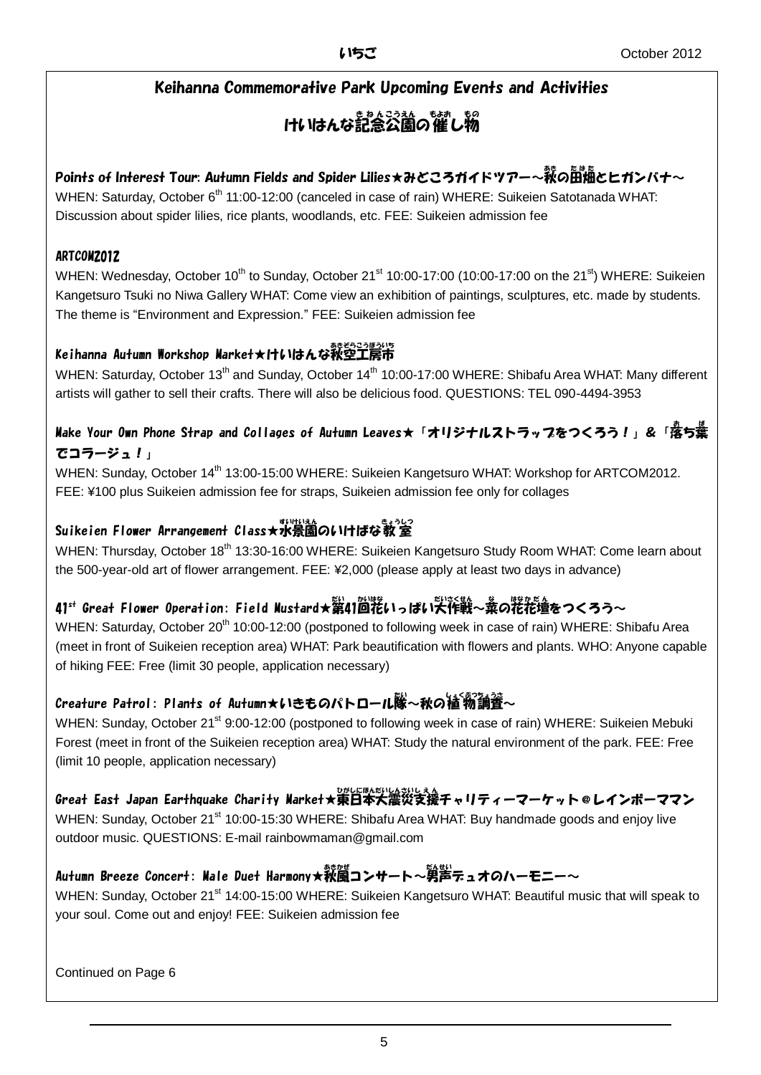## Keihanna Commemorative Park Upcoming Events and Activities

#### けいはんな記念公園の催し物 もの

## Points of Interest Tour: Autumn Fields and Spider Lilies★みどころガイドツアー~<sup></sup>萩の卧梅とヒガンバナ~

WHEN: Saturday, October 6<sup>th</sup> 11:00-12:00 (canceled in case of rain) WHERE: Suikeien Satotanada WHAT: Discussion about spider lilies, rice plants, woodlands, etc. FEE: Suikeien admission fee

### ARTCOM2012

WHEN: Wednesday, October 10<sup>th</sup> to Sunday, October 21<sup>st</sup> 10:00-17:00 (10:00-17:00 on the 21<sup>st</sup>) WHERE: Suikeien Kangetsuro Tsuki no Niwa Gallery WHAT: Come view an exhibition of paintings, sculptures, etc. made by students. The theme is "Environment and Expression." FEE: Suikeien admission fee

## Keihanna Autumn Workshop Warket★けいはんな秋空工房市

WHEN: Saturday, October 13<sup>th</sup> and Sunday, October 14<sup>th</sup> 10:00-17:00 WHERE: Shibafu Area WHAT: Many different artists will gather to sell their crafts. There will also be delicious food. QUESTIONS: TEL 090-4494-3953

## Make Your Own Phone Strap and Collages of Autumn Leaves★「オリジナルストラップをつくろう!」&「落ち葉 でコラージュ!」

WHEN: Sunday, October 14<sup>th</sup> 13:00-15:00 WHERE: Suikeien Kangetsuro WHAT: Workshop for ARTCOM2012. FEE: ¥100 plus Suikeien admission fee for straps, Suikeien admission fee only for collages

## 。<br>Suikeien Flower Arrangement Class★水景園のいけばな教室

WHEN: Thursday, October 18<sup>th</sup> 13:30-16:00 WHERE: Suikeien Kangetsuro Study Room WHAT: Come learn about the 500-year-old art of flower arrangement. FEE: ¥2,000 (please apply at least two days in advance)

## 41<sup>st</sup> Great Flower Operation: Field Mustard★辮41茴粩いっぱい<sup>実</sup>作戦~義の粩花壇をつくろう~

WHEN: Saturday, October 20<sup>th</sup> 10:00-12:00 (postponed to following week in case of rain) WHERE: Shibafu Area (meet in front of Suikeien reception area) WHAT: Park beautification with flowers and plants. WHO: Anyone capable of hiking FEE: Free (limit 30 people, application necessary)

## Creature Patrol: Plants of Autumn★いきものパトロール隊〜秋の植物調査〜

WHEN: Sunday, October 21<sup>st</sup> 9:00-12:00 (postponed to following week in case of rain) WHERE: Suikeien Mebuki Forest (meet in front of the Suikeien reception area) WHAT: Study the natural environment of the park. FEE: Free (limit 10 people, application necessary)

Great East Japan Earthquake Charity Market★東日本大震災支援チャリティーマーケット@レインボーママン

WHEN: Sunday, October 21<sup>st</sup> 10:00-15:30 WHERE: Shibafu Area WHAT: Buy handmade goods and enjoy live outdoor music. QUESTIONS: E-mail rainbowmaman@gmail.com

## Autumn Breeze Concert: Male Duet Harmony★秋風コンサート~第當テュオのハーモニー~

WHEN: Sunday, October 21<sup>st</sup> 14:00-15:00 WHERE: Suikeien Kangetsuro WHAT: Beautiful music that will speak to your soul. Come out and enjoy! FEE: Suikeien admission fee

Continued on Page 6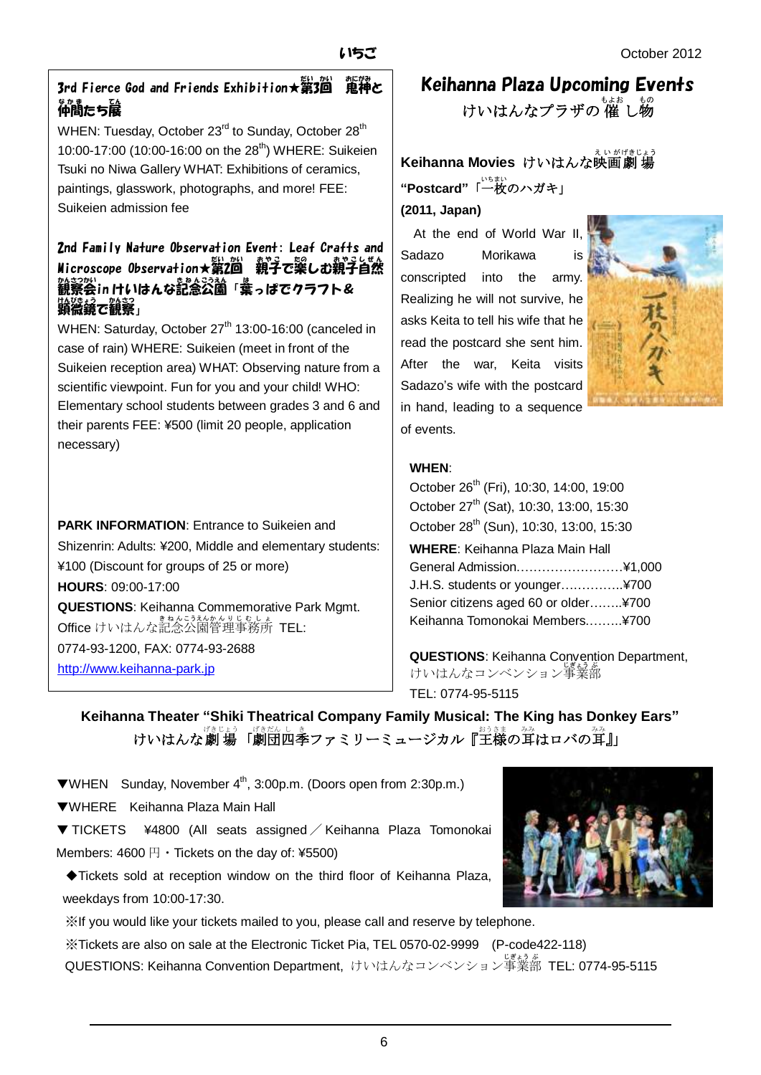## 3rd Fierce God and Friends Exhibition★第3回 鬼神と 。<br>仲間たち展

WHEN: Tuesday, October 23<sup>rd</sup> to Sunday, October 28<sup>th</sup> 10:00-17:00 (10:00-16:00 on the 28<sup>th</sup>) WHERE: Suikeien Tsuki no Niwa Gallery WHAT: Exhibitions of ceramics, paintings, glasswork, photographs, and more! FEE: Suikeien admission fee

## 2nd Family Nature Observation Event: Leaf Crafts and Microscope Observation★第2尚 親子で欒しむ親子旨然 。<br>観察会in けいはんな記念公園「葉っぱでクラフト& ……<br>顕微鏡で観察」

WHEN: Saturday, October 27<sup>th</sup> 13:00-16:00 (canceled in case of rain) WHERE: Suikeien (meet in front of the Suikeien reception area) WHAT: Observing nature from a scientific viewpoint. Fun for you and your child! WHO: Elementary school students between grades 3 and 6 and their parents FEE: ¥500 (limit 20 people, application necessary)

**PARK INFORMATION:** Entrance to Suikeien and Shizenrin: Adults: ¥200, Middle and elementary students: ¥100 (Discount for groups of 25 or more) **HOURS**: 09:00-17:00 **QUESTIONS**: Keihanna Commemorative Park Mgmt. **Office** けいはんな記念公園管理事務所 TEL: 0774-93-1200, FAX: 0774-93-2688 [http://www.keihanna-park.jp](http://www.keihanna-park.jp/)

# Keihanna Plaza Upcoming Events けいはんなプラザの 催 し物

**Keihanna Movies** けいはんな映画劇場 "**Postcard**"「一枚のハガキ」 **(2011, Japan)**

 At the end of World War II, Sadazo Morikawa is conscripted into the army. Realizing he will not survive, he asks Keita to tell his wife that he read the postcard she sent him. After the war, Keita visits Sadazo's wife with the postcard in hand, leading to a sequence of events.



### **WHEN**:

October 26<sup>th</sup> (Fri), 10:30, 14:00, 19:00 October 27<sup>th</sup> (Sat), 10:30, 13:00, 15:30 October 28<sup>th</sup> (Sun), 10:30, 13:00, 15:30 **WHERE**: Keihanna Plaza Main Hall General Admission.……………………¥1,000 J.H.S. students or younger….………..¥700 Senior citizens aged 60 or older……..¥700 Keihanna Tomonokai Members.……..¥700

**QUESTIONS**: Keihanna Convention Department, けいはんなコンベンション事業部

TEL: 0774-95-5115

**Keihanna Theater "Shiki Theatrical Company Family Musical: The King has Donkey Ears"** けいはんな劇 場「劇団四季ファミリーミュージカル『<sup>お</sup>詩の耳はロバの耳』」

▼WHEN Sunday, November 4th, 3:00p.m. (Doors open from 2:30p.m.)

▼WHERE Keihanna Plaza Main Hall

▼ TICKETS ¥4800 (All seats assigned / Keihanna Plaza Tomonokai Members:  $4600 \,\mathrm{H} \cdot \text{Tickets}$  on the day of: ¥5500)

◆Tickets sold at reception window on the third floor of Keihanna Plaza, weekdays from 10:00-17:30.

※If you would like your tickets mailed to you, please call and reserve by telephone.

※Tickets are also on sale at the Electronic Ticket Pia, TEL 0570-02-9999 (P-code422-118) QUESTIONS: Keihanna Convention Department, けいはんなコンベンション事業 じぎょう 部 ぶ TEL: 0774-95-5115

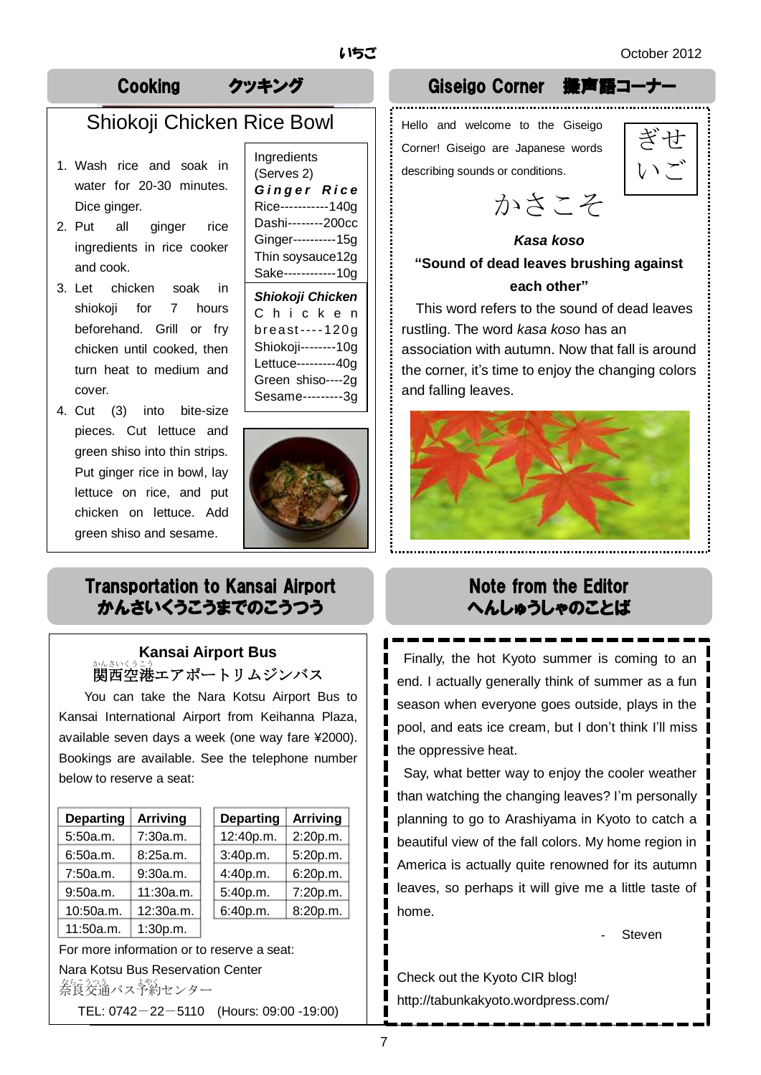ぎせ

いご

# Cooking クッキング Giseigo Corner 擬声語コーナー

# Shiokoji Chicken Rice Bowl

- 1. Wash rice and soak in water for 20-30 minutes. Dice ginger.
- and cook. 2. Put all ginger rice ingredients in rice cooker
- 3. Let chicken soak in shiokoji for 7 hours beforehand. Grill or fry chicken until cooked, then turn heat to medium and cover.
- 4. Cut (3) into bite-size pieces. Cut lettuce and green shiso into thin strips. Put ginger rice in bowl, lay lettuce on rice, and put chicken on lettuce. Add green shiso and sesame.

Ingredients (Serves 2) *G i n g e r R i c e* Rice-----------140g Dashi--------200cc Ginger----------15g Thin soysauce12g Sake------------10g *Shiokoji Chicken*

C h i c k e n br east--- - 120g Shiokoji--------10g Lettuce---------40g Green shiso----2g Sesame---------3g



## Transportation to Kansai Airport かんさいくうこうまでのこうつう

## **Kansai Airport Bus** 。<br>関西空港エアポートリムジンバス

You can take the Nara Kotsu Airport Bus to Kansai International Airport from Keihanna Plaza, available seven days a week (one way fare ¥2000). Bookings are available. See the telephone number below to reserve a seat:

| <b>Departing</b> | <b>Arriving</b> |
|------------------|-----------------|
| 5:50a.m.         | 7:30a.m.        |
| 6:50a.m.         | 8:25a.m.        |
| 7:50a.m.         | 9:30a.m.        |
| 9:50a.m.         | 11:30a.m.       |
| 10:50a.m.        | 12:30a.m.       |
| 11:50a.m.        | 1:30p.m.        |

| <b>Departing</b> | <b>Arriving</b> | <b>Departing</b> | <b>Arriving</b> |
|------------------|-----------------|------------------|-----------------|
| 5:50a.m.         | 7:30a.m.        | 12:40p.m.        | 2:20p.m.        |
| 6:50a.m.         | 8:25a.m.        | 3:40p.m.         | 5:20p.m.        |
| 7:50a.m.         | 9:30a.m.        | 4:40p.m.         | 6:20p.m.        |
| 9:50a.m.         | 11:30a.m.       | 5:40p.m.         | 7:20p.m.        |
| 10:50a.m.        | 12:30a.m.       | 6:40p.m.         | 8:20p.m.        |
|                  |                 |                  |                 |

For more information or to reserve a seat: Nara Kotsu Bus Reservation Center 茶らシッシスト<br>奈良交通バス予約センター TEL: 0742-22-5110 (Hours: 09:00 -19:00)

rustling. The word *kasa koso* has an

association with autumn. Now that fall is around the corner, it's time to enjoy the changing colors and falling leaves.

かさこそ

*Kasa koso* **"Sound of dead leaves brushing against each other"** This word refers to the sound of dead leaves

Hello and welcome to the Giseigo Corner! Giseigo are Japanese words

describing sounds or conditions.



# Note from the Editor へんしゅうしゃのことば

Finally, the hot Kyoto summer is coming to an end. I actually generally think of summer as a fun | season when everyone goes outside, plays in the pool, and eats ice cream, but I don't think I'll miss the oppressive heat.

Say, what better way to enjoy the cooler weather than watching the changing leaves? I'm personally planning to go to Arashiyama in Kyoto to catch a beautiful view of the fall colors. My home region in America is actually quite renowned for its autumn leaves, so perhaps it will give me a little taste of home.

**Steven** 

Check out the Kyoto CIR blog! http://tabunkakyoto.wordpress.com/

7